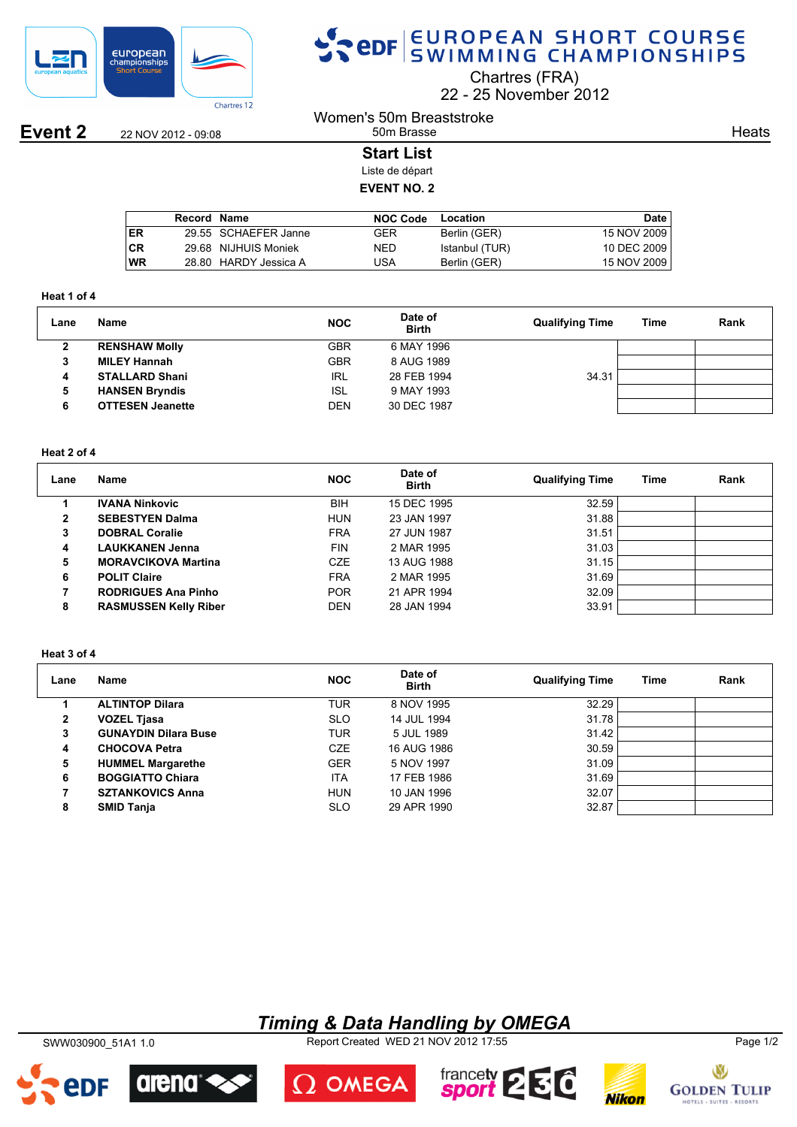

# SPOR EUROPEAN SHORT COURSE

Chartres (FRA)

22 25 November 2012

**Event 2** 22 NOV 2012 - 09:08

#### Women's 50m Breaststroke 50m Brasse

**Heats** 

### **Start List**

Liste de départ **EVENT NO. 2**

|           | Record Name |                       | <b>NOC Code</b> | Location       | Date        |
|-----------|-------------|-----------------------|-----------------|----------------|-------------|
| ER        |             | 29.55 SCHAEFER Janne  | GER             | Berlin (GER)   | 15 NOV 2009 |
| <b>CR</b> |             | 29.68 NIJHUIS Moniek  | <b>NED</b>      | Istanbul (TUR) | 10 DEC 2009 |
| WR        |             | 28.80 HARDY Jessica A | JSA             | Berlin (GER)   | 15 NOV 2009 |
|           |             |                       |                 |                |             |

#### **Heat 1 of 4**

| Lane | Name                    | <b>NOC</b> | Date of<br><b>Birth</b> | <b>Qualifying Time</b> | Time | Rank |
|------|-------------------------|------------|-------------------------|------------------------|------|------|
| 2    | <b>RENSHAW Molly</b>    | GBR        | 6 MAY 1996              |                        |      |      |
| 3    | <b>MILEY Hannah</b>     | GBR        | 8 AUG 1989              |                        |      |      |
| 4    | <b>STALLARD Shani</b>   | <b>IRL</b> | 28 FEB 1994             | 34.31                  |      |      |
| 5    | <b>HANSEN Bryndis</b>   | ISL        | 9 MAY 1993              |                        |      |      |
| 6    | <b>OTTESEN Jeanette</b> | <b>DEN</b> | 30 DEC 1987             |                        |      |      |

#### **Heat 2 of 4**

| Lane         | Name                         | <b>NOC</b> | Date of<br><b>Birth</b> | <b>Qualifying Time</b> | Time | Rank |
|--------------|------------------------------|------------|-------------------------|------------------------|------|------|
|              | <b>IVANA Ninkovic</b>        | <b>BIH</b> | 15 DEC 1995             | 32.59                  |      |      |
| $\mathbf{2}$ | <b>SEBESTYEN Dalma</b>       | <b>HUN</b> | 23 JAN 1997             | 31.88                  |      |      |
| 3            | <b>DOBRAL Coralie</b>        | <b>FRA</b> | 27 JUN 1987             | 31.51                  |      |      |
| 4            | <b>LAUKKANEN Jenna</b>       | <b>FIN</b> | 2 MAR 1995              | 31.03                  |      |      |
| 5            | <b>MORAVCIKOVA Martina</b>   | <b>CZE</b> | 13 AUG 1988             | 31.15                  |      |      |
| 6            | <b>POLIT Claire</b>          | <b>FRA</b> | 2 MAR 1995              | 31.69                  |      |      |
|              | <b>RODRIGUES Ana Pinho</b>   | <b>POR</b> | 21 APR 1994             | 32.09                  |      |      |
| 8            | <b>RASMUSSEN Kelly Riber</b> | <b>DEN</b> | 28 JAN 1994             | 33.91                  |      |      |

#### **Heat 3 of 4**

| Lane | Name                        | <b>NOC</b> | Date of<br><b>Birth</b> | <b>Qualifying Time</b> | Time | Rank |
|------|-----------------------------|------------|-------------------------|------------------------|------|------|
|      | <b>ALTINTOP Dilara</b>      | TUR        | 8 NOV 1995              | 32.29                  |      |      |
| 2    | <b>VOZEL Tjasa</b>          | <b>SLO</b> | 14 JUL 1994             | 31.78                  |      |      |
| 3    | <b>GUNAYDIN Dilara Buse</b> | <b>TUR</b> | 5 JUL 1989              | 31.42                  |      |      |
| 4    | <b>CHOCOVA Petra</b>        | <b>CZE</b> | 16 AUG 1986             | 30.59                  |      |      |
| 5    | <b>HUMMEL Margarethe</b>    | <b>GER</b> | 5 NOV 1997              | 31.09                  |      |      |
| 6    | <b>BOGGIATTO Chiara</b>     | <b>ITA</b> | 17 FEB 1986             | 31.69                  |      |      |
|      | <b>SZTANKOVICS Anna</b>     | <b>HUN</b> | 10 JAN 1996             | 32.07                  |      |      |
| 8    | <b>SMID Tanja</b>           | <b>SLO</b> | 29 APR 1990             | 32.87                  |      |      |

### *Timing & Data Handling by OMEGA*

SWW030900\_51A1 1.0 Report Created WED 21 NOV 2012 17:55 Page 1/2









## $\Omega$  OMEGA